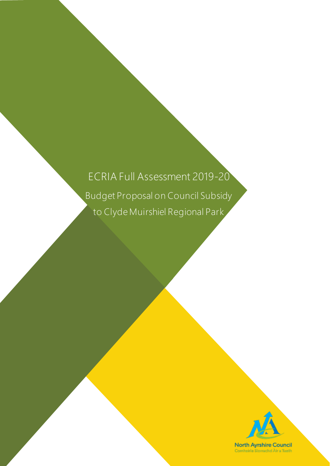# ECRIA Full Assessment 2019-20

Budget Proposal on Council Subsidy to Clyde Muirshiel Regional Park

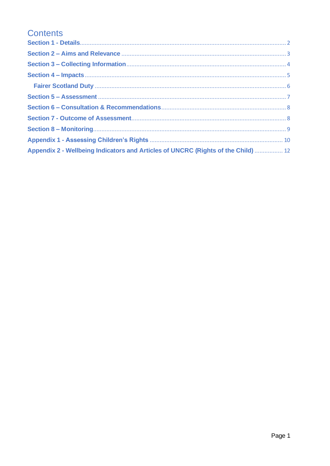## **Contents**

| Appendix 2 - Wellbeing Indicators and Articles of UNCRC (Rights of the Child)  12 |  |
|-----------------------------------------------------------------------------------|--|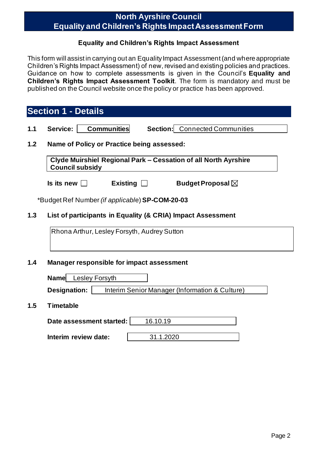### **North Ayrshire Council Equality and Children's Rights Impact Assessment Form**

#### **Equality and Children's Rights Impact Assessment**

This form will assist in carrying out an Equality Impact Assessment (and where appropriate Children's Rights Impact Assessment) of new, revised and existing policies and practices. Guidance on how to complete assessments is given in the Council's **Equality and Children's Rights Impact Assessment Toolkit**. The form is mandatory and must be published on the Council website once the policy or practice has been approved.

<span id="page-2-0"></span>

|     | <b>Section 1 - Details</b>                                                                |  |  |
|-----|-------------------------------------------------------------------------------------------|--|--|
| 1.1 | <b>Communities</b><br>Service:<br><b>Section:</b> Connected Communities                   |  |  |
| 1.2 | Name of Policy or Practice being assessed:                                                |  |  |
|     | Clyde Muirshiel Regional Park - Cessation of all North Ayrshire<br><b>Council subsidy</b> |  |  |
|     | Is its new $\Box$<br>Budget Proposal $\boxtimes$<br>Existing $\Box$                       |  |  |
|     | *Budget Ref Number <i>(if applicable</i> ) <b>SP-COM-20-03</b>                            |  |  |
| 1.3 | List of participants in Equality (& CRIA) Impact Assessment                               |  |  |
|     | Rhona Arthur, Lesley Forsyth, Audrey Sutton                                               |  |  |
| 1.4 | <b>Manager responsible for impact assessment</b>                                          |  |  |
|     | Name Lesley Forsyth                                                                       |  |  |
|     | Designation:<br>Interim Senior Manager (Information & Culture)                            |  |  |
| 1.5 | <b>Timetable</b>                                                                          |  |  |
|     | 16.10.19<br>Date assessment started:                                                      |  |  |

**Interim review date:**  $\vert$  31.1.2020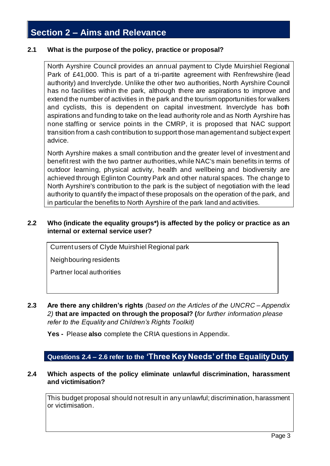## <span id="page-3-0"></span>**Section 2 – Aims and Relevance**

#### **2.1 What is the purpose of the policy, practice or proposal?**

North Ayrshire Council provides an annual payment to Clyde Muirshiel Regional Park of £41,000. This is part of a tri-partite agreement with Renfrewshire (lead authority) and Inverclyde. Unlike the other two authorities, North Ayrshire Council has no facilities within the park, although there are aspirations to improve and extend the number of activities in the park and the tourism opportunities for walkers and cyclists, this is dependent on capital investment. Inverclyde has both aspirations and funding to take on the lead authority role and as North Ayrshire has none staffing or service points in the CMRP, it is proposed that NAC support transition from a cash contribution to support those management and subject expert advice.

North Ayrshire makes a small contribution and the greater level of investment and benefit rest with the two partner authorities, while NAC's main benefits in terms of outdoor learning, physical activity, health and wellbeing and biodiversity are achieved through Eglinton Country Park and other natural spaces. The change to North Ayrshire's contribution to the park is the subject of negotiation with the lead authority to quantify the impact of these proposals on the operation of the park, and in particular the benefits to North Ayrshire of the park land and activities.

#### **2.2 Who (indicate the equality groups\*) is affected by the policy or practice as an internal or external service user?**

Current users of Clyde Muirshiel Regional park

Neighbouring residents

Partner local authorities

**2.3 Are there any children's rights** *(based on the Articles of the UNCRC – Appendix 2)* **that are impacted on through the proposal? (***for further information please refer to the Equality and Children's Rights Toolkit)*

**Yes -** Please **also** complete the CRIA questions in Appendix.

#### **Questions 2.4 – 2.6 refer to the 'Three Key Needs' of the Equality Duty**

#### **2.4 Which aspects of the policy eliminate unlawful discrimination, harassment and victimisation?**

This budget proposal should not result in any unlawful; discrimination, harassment or victimisation.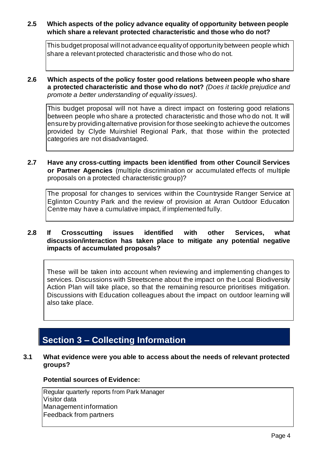#### **2.5 Which aspects of the policy advance equality of opportunity between people which share a relevant protected characteristic and those who do not?**

This budget proposal will not advance equality of opportunity between people which share a relevant protected characteristic and those who do not.

**2.6 Which aspects of the policy foster good relations between people who share a protected characteristic and those who do not?** *(Does it tackle prejudice and promote a better understanding of equality issues).*

This budget proposal will not have a direct impact on fostering good relations between people who share a protected characteristic and those who do not. It will ensure by providing alternative provision for those seeking to achieve the outcomes provided by Clyde Muirshiel Regional Park, that those within the protected categories are not disadvantaged.

**2.7 Have any cross-cutting impacts been identified from other Council Services or Partner Agencies** (multiple discrimination or accumulated effects of multiple proposals on a protected characteristic group)?

The proposal for changes to services within the Countryside Ranger Service at Eglinton Country Park and the review of provision at Arran Outdoor Education Centre may have a cumulative impact, if implemented fully.

#### **2.8 If Crosscutting issues identified with other Services, what discussion/interaction has taken place to mitigate any potential negative impacts of accumulated proposals?**

These will be taken into account when reviewing and implementing changes to services. Discussions with Streetscene about the impact on the Local Biodiversity Action Plan will take place, so that the remaining resource prioritises mitigation. Discussions with Education colleagues about the impact on outdoor learning will also take place.

## <span id="page-4-0"></span>**Section 3 – Collecting Information**

**3.1 What evidence were you able to access about the needs of relevant protected groups?**

#### **Potential sources of Evidence:**

Regular quarterly reports from Park Manager Visitor data Management information Feedback from partners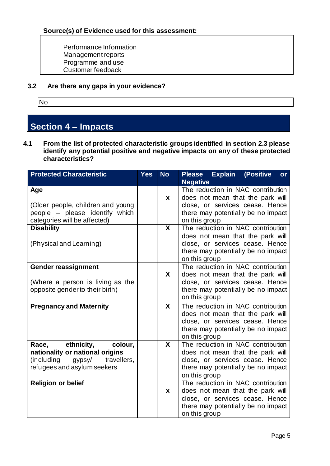Performance Information Management reports Programme and use Customer feedback

**3.2 Are there any gaps in your evidence?**

No

## <span id="page-5-0"></span>**Section 4 – Impacts**

**4.1 From the list of protected characteristic groups identified in section 2.3 please identify any potential positive and negative impacts on any of these protected characteristics?**

| <b>Protected Characteristic</b>                                                                                                      | <b>Yes</b> | <b>No</b> | Please Explain<br>(Positive<br>or                                                                                                                               |
|--------------------------------------------------------------------------------------------------------------------------------------|------------|-----------|-----------------------------------------------------------------------------------------------------------------------------------------------------------------|
|                                                                                                                                      |            |           | <b>Negative</b>                                                                                                                                                 |
| Age<br>(Older people, children and young<br>people - please identify which<br>categories will be affected)                           |            | X         | The reduction in NAC contribution<br>does not mean that the park will<br>close, or services cease. Hence<br>there may potentially be no impact<br>on this group |
| <b>Disability</b><br>(Physical and Learning)                                                                                         |            | X         | The reduction in NAC contribution<br>does not mean that the park will<br>close, or services cease. Hence<br>there may potentially be no impact<br>on this group |
| <b>Gender reassignment</b><br>(Where a person is living as the<br>opposite gender to their birth)                                    |            | X         | The reduction in NAC contribution<br>does not mean that the park will<br>close, or services cease. Hence<br>there may potentially be no impact<br>on this group |
| <b>Pregnancy and Maternity</b>                                                                                                       |            | X         | The reduction in NAC contribution<br>does not mean that the park will<br>close, or services cease. Hence<br>there may potentially be no impact<br>on this group |
| ethnicity,<br>Race,<br>colour,<br>nationality or national origins<br>(including gypsy/<br>travellers,<br>refugees and asylum seekers |            | X         | The reduction in NAC contribution<br>does not mean that the park will<br>close, or services cease. Hence<br>there may potentially be no impact<br>on this group |
| <b>Religion or belief</b>                                                                                                            |            | X         | The reduction in NAC contribution<br>does not mean that the park will<br>close, or services cease. Hence<br>there may potentially be no impact<br>on this group |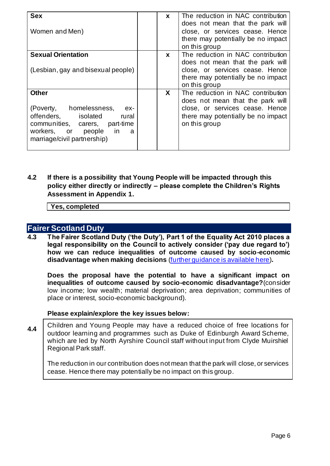| <b>Sex</b><br>Women and Men)                                                                                                                                                        | X            | The reduction in NAC contribution<br>does not mean that the park will<br>close, or services cease. Hence<br>there may potentially be no impact<br>on this group |
|-------------------------------------------------------------------------------------------------------------------------------------------------------------------------------------|--------------|-----------------------------------------------------------------------------------------------------------------------------------------------------------------|
| <b>Sexual Orientation</b><br>(Lesbian, gay and bisexual people)                                                                                                                     | $\mathbf{x}$ | The reduction in NAC contribution<br>does not mean that the park will<br>close, or services cease. Hence<br>there may potentially be no impact<br>on this group |
| <b>Other</b><br>(Poverty, homelessness,<br>ex-<br>offenders, isolated<br>rural<br>communities, carers, part-time<br>workers, or people<br>in in<br>a<br>marriage/civil partnership) | X            | The reduction in NAC contribution<br>does not mean that the park will<br>close, or services cease. Hence<br>there may potentially be no impact<br>on this group |

**4.2 If there is a possibility that Young People will be impacted through this policy either directly or indirectly – please complete the Children's Rights Assessment in Appendix 1.**

**Yes, completed**

#### <span id="page-6-0"></span>**Fairer Scotland Duty**

**4.3 The Fairer Scotland Duty ('the Duty'), Part 1 of the Equality Act 2010 places a legal responsibility on the Council to actively consider ('pay due regard to') how we can reduce inequalities of outcome caused by socio-economic disadvantage when making decisions** [\(further guidance is available here\)](file://///Nayrhqvsd1/public/CEPUBLIC/08%20Policy/Andrew%20Hale/Equality%20Issues/Equality%20Impact%20Assessments/Guidance/Assessment%20Tools/CRIA/FS%20Duty/ECRIA%20and%20FSD%20Full%20Assessment%20form%20draft%20160119.docx)**.**

**Does the proposal have the potential to have a significant impact on inequalities of outcome caused by socio-economic disadvantage?**(consider low income; low wealth; material deprivation; area deprivation; communities of place or interest, socio-economic background).

#### **Please explain/explore the key issues below:**

**4.4** Children and Young People may have a reduced choice of free locations for outdoor learning and programmes such as Duke of Edinburgh Award Scheme, which are led by North Ayrshire Council staff without input from Clyde Muirshiel Regional Park staff.

The reduction in our contribution does not mean that the park will close, or services cease. Hence there may potentially be no impact on this group.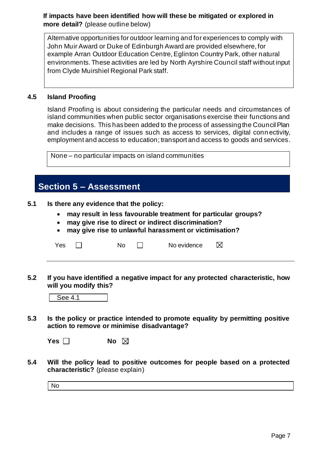**If impacts have been identified how will these be mitigated or explored in more detail?** (please outline below)

Alternative opportunities for outdoor learning and for experiences to comply with John Muir Award or Duke of Edinburgh Award are provided elsewhere, for example Arran Outdoor Education Centre, Eglinton Country Park, other natural environments. These activities are led by North Ayrshire Council staff without input from Clyde Muirshiel Regional Park staff.

#### **4.5 Island Proofing**

Island Proofing is about considering the particular needs and circumstances of island communities when public sector organisations exercise their functions and make decisions. This has been added to the process of assessing the Council Plan and includes a range of issues such as access to services, digital conn ectivity, employment and access to education; transport and access to goods and services.

None – no particular impacts on island communities

### <span id="page-7-0"></span>**Section 5 – Assessment**

**5.1 Is there any evidence that the policy:**

- **may result in less favourable treatment for particular groups?**
- **may give rise to direct or indirect discrimination?**
- **may give rise to unlawful harassment or victimisation?**

| Yes | Nο | No evidence |  |
|-----|----|-------------|--|
|     |    |             |  |

**5.2 If you have identified a negative impact for any protected characteristic, how will you modify this?**

| - |
|---|
|   |

**5.3 Is the policy or practice intended to promote equality by permitting positive action to remove or minimise disadvantage?**

**Yes**  $\Box$  **No**  $\boxtimes$ 

**5.4 Will the policy lead to positive outcomes for people based on a protected characteristic?** (please explain)

No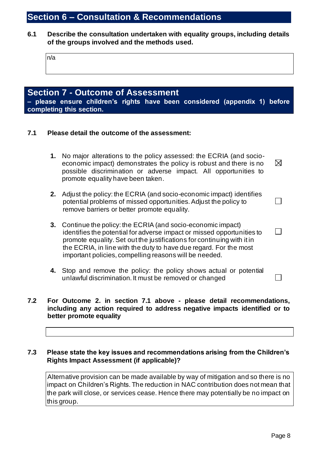## <span id="page-8-0"></span>**Section 6 – Consultation & Recommendations**

**6.1 Describe the consultation undertaken with equality groups, including details of the groups involved and the methods used.**

| n/a |  |  |  |
|-----|--|--|--|
|     |  |  |  |

#### <span id="page-8-1"></span>**Section 7 - Outcome of Assessment – please ensure children's rights have been considered (appendix 1) before completing this section.**

#### **7.1 Please detail the outcome of the assessment:**

remove barriers or better promote equality.

|    | 1. No major alterations to the policy assessed: the ECRIA (and socio-<br>economic impact) demonstrates the policy is robust and there is no<br>possible discrimination or adverse impact. All opportunities to<br>promote equality have been taken. | $\boxtimes$ |
|----|-----------------------------------------------------------------------------------------------------------------------------------------------------------------------------------------------------------------------------------------------------|-------------|
| 2. | Adjust the policy: the ECRIA (and socio-economic impact) identifies<br>potential problems of missed opportunities. Adjust the policy to                                                                                                             |             |

| 3. Continue the policy: the ECRIA (and socio-economic impact)<br>identifies the potential for adverse impact or missed opportunities to |
|-----------------------------------------------------------------------------------------------------------------------------------------|
| promote equality. Set out the justifications for continuing with it in                                                                  |
| the ECRIA, in line with the duty to have due regard. For the most                                                                       |
| important policies, compelling reasons will be needed.                                                                                  |

**4.** Stop and remove the policy: the policy shows actual or potential unlawful discrimination. It must be removed or changed

#### **7.2 For Outcome 2. in section 7.1 above - please detail recommendations, including any action required to address negative impacts identified or to better promote equality**

#### **7.3 Please state the key issues and recommendations arising from the Children's Rights Impact Assessment (if applicable)?**

Alternative provision can be made available by way of mitigation and so there is no impact on Children's Rights. The reduction in NAC contribution does not mean that the park will close, or services cease. Hence there may potentially be no impact on this group.

 $\Box$ 

 $\mathbf{L}$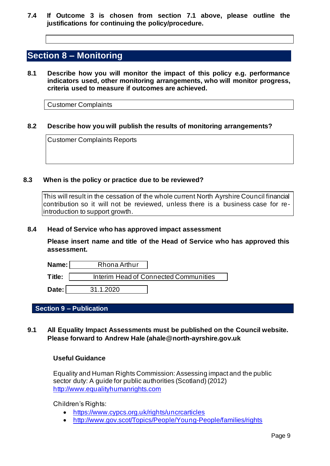**7.4 If Outcome 3 is chosen from section 7.1 above, please outline the justifications for continuing the policy/procedure.**

### <span id="page-9-0"></span>**Section 8 – Monitoring**

**8.1 Describe how you will monitor the impact of this policy e.g. performance indicators used, other monitoring arrangements, who will monitor progress, criteria used to measure if outcomes are achieved.**

Customer Complaints

#### **8.2 Describe how you will publish the results of monitoring arrangements?**

Customer Complaints Reports

#### **8.3 When is the policy or practice due to be reviewed?**

This will result in the cessation of the whole current North Ayrshire Council financial contribution so it will not be reviewed, unless there is a business case for reintroduction to support growth.

#### **8.4 Head of Service who has approved impact assessment**

**Please insert name and title of the Head of Service who has approved this assessment.**

| Name:  | Rhona Arthur |                                       |
|--------|--------------|---------------------------------------|
| Title: |              | Interim Head of Connected Communities |
| Date:  | 31.1.2020    |                                       |

#### **Section 9 – Publication**

**9.1 All Equality Impact Assessments must be published on the Council website. Please forward to Andrew Hale (ahale@north-ayrshire.gov.uk**

#### **Useful Guidance**

Equality and Human Rights Commission: Assessing impact and the public sector duty: A guide for public authorities (Scotland) (2012) [http://www.equalityhumanrights.com](http://www.equalityhumanrights.com/about-us/devolved-authorities/commission-scotland/scotland-guidance)

Children's Rights:

- <https://www.cypcs.org.uk/rights/uncrcarticles>
- <http://www.gov.scot/Topics/People/Young-People/families/rights>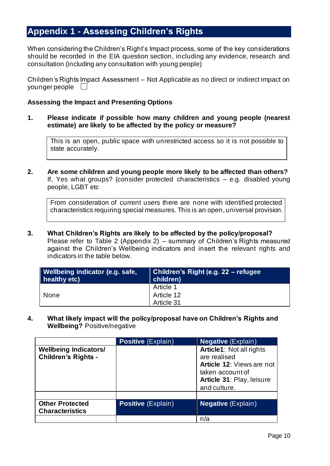### <span id="page-10-0"></span>**Appendix 1 - Assessing Children's Rights**

When considering the Children's Right's Impact process, some of the key considerations should be recorded in the EIA question section, including any evidence, research and consultation (including any consultation with young people)

Children's Rights Impact Assessment – Not Applicable as no direct or indirect impact on younger people  $\Box$ 

#### **Assessing the Impact and Presenting Options**

**1. Please indicate if possible how many children and young people (nearest estimate) are likely to be affected by the policy or measure?**

This is an open, public space with unrestricted access so it is not possible to state accurately.

**2. Are some children and young people more likely to be affected than others?** If, Yes what groups? (consider protected characteristics – e.g. disabled young people, LGBT etc

From consideration of current users there are none with identified protected characteristics requiring special measures. This is an open, universal provision.

**3. What Children's Rights are likely to be affected by the policy/proposal?** Please refer to Table 2 (Appendix 2) – summary of Children's Rights measured against the Children's Wellbeing indicators and insert the relevant rights and indicators in the table below.

| Wellbeing indicator (e.g. safe,<br>$\blacksquare$ healthy etc) | <b>Children's Right (e.g. 22 - refugee</b><br>children) |
|----------------------------------------------------------------|---------------------------------------------------------|
|                                                                | Article 1                                               |
| None                                                           | Article 12                                              |
|                                                                | Article 31                                              |

**4. What likely impact will the policy/proposal have on Children's Rights and Wellbeing?** Positive/negative

|                                                            | <b>Positive (Explain)</b> | <b>Negative</b> (Explain)                                                                                                                     |
|------------------------------------------------------------|---------------------------|-----------------------------------------------------------------------------------------------------------------------------------------------|
| <b>Wellbeing Indicators/</b><br><b>Children's Rights -</b> |                           | Article1: Not all rights<br>are realised<br><b>Article 12: Views are not</b><br>taken account of<br>Article 31: Play, leisure<br>and culture. |
|                                                            |                           |                                                                                                                                               |
| <b>Other Protected</b><br><b>Characteristics</b>           | <b>Positive</b> (Explain) | <b>Negative</b> (Explain)                                                                                                                     |
|                                                            |                           | n/a                                                                                                                                           |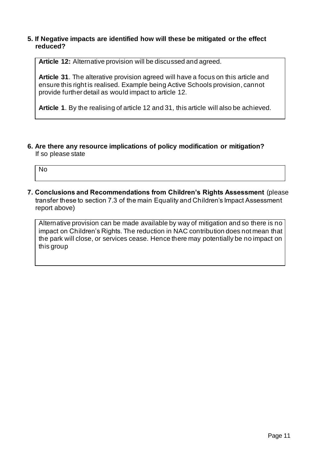#### **5. If Negative impacts are identified how will these be mitigated or the effect reduced?**

**Article 12:** Alternative provision will be discussed and agreed.

**Article 31**. The alterative provision agreed will have a focus on this article and ensure this right is realised. Example being Active Schools provision, cannot provide further detail as would impact to article 12.

**Article 1**. By the realising of article 12 and 31, this article will also be achieved.

**6. Are there any resource implications of policy modification or mitigation?** If so please state

No

**7. Conclusions and Recommendations from Children's Rights Assessment** (please transfer these to section 7.3 of the main Equality and Children's Impact Assessment report above)

Alternative provision can be made available by way of mitigation and so there is no impact on Children's Rights. The reduction in NAC contribution does not mean that the park will close, or services cease. Hence there may potentially be no impact on this group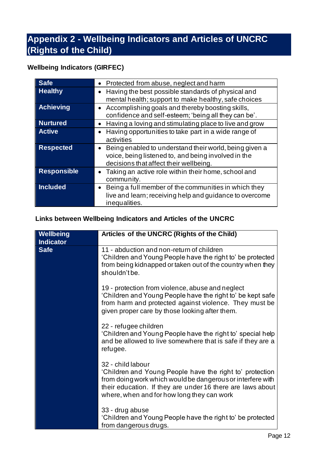## <span id="page-12-0"></span>**Appendix 2 - Wellbeing Indicators and Articles of UNCRC (Rights of the Child)**

### **Wellbeing Indicators (GIRFEC)**

| <b>Safe</b>        | • Protected from abuse, neglect and harm                                                                                                                |
|--------------------|---------------------------------------------------------------------------------------------------------------------------------------------------------|
| <b>Healthy</b>     | Having the best possible standards of physical and<br>mental health; support to make healthy, safe choices                                              |
| <b>Achieving</b>   | • Accomplishing goals and thereby boosting skills,<br>confidence and self-esteem; 'being all they can be'.                                              |
| <b>Nurtured</b>    | Having a loving and stimulating place to live and grow                                                                                                  |
| <b>Active</b>      | Having opportunities to take part in a wide range of<br>activities                                                                                      |
| <b>Respected</b>   | Being enabled to understand their world, being given a<br>voice, being listened to, and being involved in the<br>decisions that affect their wellbeing. |
| <b>Responsible</b> | Taking an active role within their home, school and<br>community.                                                                                       |
| <b>Included</b>    | Being a full member of the communities in which they<br>live and learn; receiving help and guidance to overcome<br>inequalities.                        |

### **Links between Wellbeing Indicators and Articles of the UNCRC**

| Wellbeing<br><b>Indicator</b> | Articles of the UNCRC (Rights of the Child)                                                                                                                                                                                                             |
|-------------------------------|---------------------------------------------------------------------------------------------------------------------------------------------------------------------------------------------------------------------------------------------------------|
| <b>Safe</b>                   | 11 - abduction and non-return of children<br>'Children and Young People have the right to' be protected<br>from being kidnapped or taken out of the country when they<br>shouldn't be.                                                                  |
|                               | 19 - protection from violence, abuse and neglect<br>'Children and Young People have the right to' be kept safe<br>from harm and protected against violence. They must be<br>given proper care by those looking after them.                              |
|                               | 22 - refugee children<br>'Children and Young People have the right to' special help<br>and be allowed to live somewhere that is safe if they are a<br>refugee.                                                                                          |
|                               | 32 - child labour<br>'Children and Young People have the right to' protection<br>from doing work which would be dangerous or interfere with<br>their education. If they are under 16 there are laws about<br>where, when and for how long they can work |
|                               | 33 - drug abuse<br>'Children and Young People have the right to' be protected<br>from dangerous drugs.                                                                                                                                                  |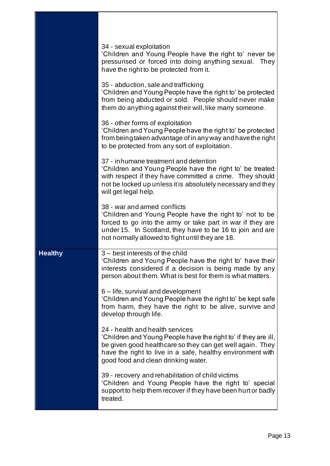|                | 34 - sexual exploitation<br>'Children and Young People have the right to' never be<br>pressurised or forced into doing anything sexual. They<br>have the right to be protected from it.                                                                                |
|----------------|------------------------------------------------------------------------------------------------------------------------------------------------------------------------------------------------------------------------------------------------------------------------|
|                | 35 - abduction, sale and trafficking<br>'Children and Young People have the right to' be protected<br>from being abducted or sold. People should never make<br>them do anything against their will, like marry someone.                                                |
|                | 36 - other forms of exploitation<br>'Children and Young People have the right to' be protected<br>from being taken advantage of in any way and have the right<br>to be protected from any sort of exploitation.                                                        |
|                | 37 - inhumane treatment and detention<br>'Children and Young People have the right to' be treated<br>with respect if they have committed a crime. They should<br>not be locked up unless it is absolutely necessary and they<br>will get legal help.                   |
|                | 38 - war and armed conflicts<br>'Children and Young People have the right to' not to be<br>forced to go into the army or take part in war if they are<br>under 15. In Scotland, they have to be 16 to join and are<br>not normally allowed to fight until they are 18. |
| <b>Healthy</b> | 3 – best interests of the child<br>'Children and Young People have the right to' have their<br>interests considered if a decision is being made by any<br>person about them. What is best for them is what matters.                                                    |
|                | 6 – life, survival and development<br>'Children and Young People have the right to' be kept safe<br>from harm, they have the right to be alive, survive and<br>develop through life.                                                                                   |
|                | 24 - health and health services<br>'Children and Young People have the right to' if they are ill,<br>be given good healthcare so they can get well again. They<br>have the right to live in a safe, healthy environment with<br>good food and clean drinking water.    |
|                | 39 - recovery and rehabilitation of child victims<br>'Children and Young People have the right to' special<br>support to help them recover if they have been hurt or badly<br>treated.                                                                                 |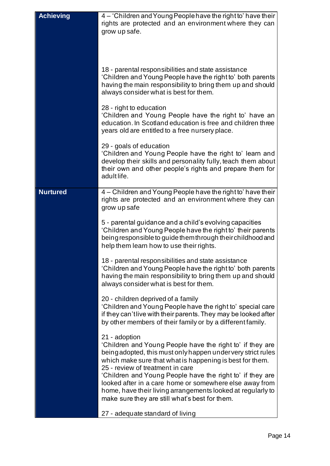| <b>Achieving</b> | 4 – 'Children and Young People have the right to' have their<br>rights are protected and an environment where they can<br>grow up safe.<br>18 - parental responsibilities and state assistance<br>'Children and Young People have the right to' both parents<br>having the main responsibility to bring them up and should<br>always consider what is best for them.<br>28 - right to education<br>'Children and Young People have the right to' have an<br>education. In Scotland education is free and children three<br>years old are entitled to a free nursery place.<br>29 - goals of education<br>'Children and Young People have the right to' learn and<br>develop their skills and personality fully, teach them about<br>their own and other people's rights and prepare them for<br>adult life. |
|------------------|-------------------------------------------------------------------------------------------------------------------------------------------------------------------------------------------------------------------------------------------------------------------------------------------------------------------------------------------------------------------------------------------------------------------------------------------------------------------------------------------------------------------------------------------------------------------------------------------------------------------------------------------------------------------------------------------------------------------------------------------------------------------------------------------------------------|
| <b>Nurtured</b>  | 4 – Children and Young People have the right to' have their<br>rights are protected and an environment where they can<br>grow up safe<br>5 - parental guidance and a child's evolving capacities<br>'Children and Young People have the right to' their parents<br>being responsible to guide them through their childhood and<br>help them learn how to use their rights.<br>18 - parental responsibilities and state assistance<br>'Children and Young People have the right to' both parents<br>having the main responsibility to bring them up and should<br>always consider what is best for them.<br>20 - children deprived of a family                                                                                                                                                               |
|                  | 'Children and Young People have the right to' special care<br>if they can'tlive with their parents. They may be looked after<br>by other members of their family or by a different family.<br>21 - adoption<br>'Children and Young People have the right to' if they are<br>being adopted, this must only happen under very strict rules<br>which make sure that what is happening is best for them.<br>25 - review of treatment in care<br>'Children and Young People have the right to' if they are<br>looked after in a care home or somewhere else away from<br>home, have their living arrangements looked at regularly to<br>make sure they are still what's best for them.<br>27 - adequate standard of living                                                                                       |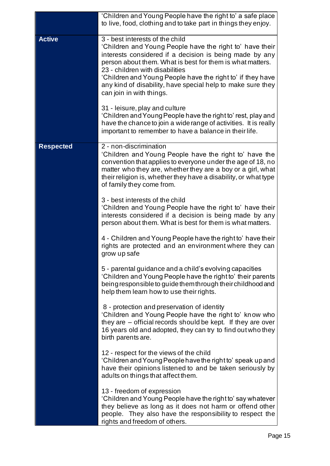|                  | 'Children and Young People have the right to' a safe place<br>to live, food, clothing and to take part in things they enjoy.                                                                                                                                                                                                                                                                                                                                                                                                                                                          |
|------------------|---------------------------------------------------------------------------------------------------------------------------------------------------------------------------------------------------------------------------------------------------------------------------------------------------------------------------------------------------------------------------------------------------------------------------------------------------------------------------------------------------------------------------------------------------------------------------------------|
| <b>Active</b>    | 3 - best interests of the child<br>'Children and Young People have the right to' have their<br>interests considered if a decision is being made by any<br>person about them. What is best for them is what matters.<br>23 - children with disabilities<br>'Children and Young People have the right to' if they have<br>any kind of disability, have special help to make sure they<br>can join in with things.<br>31 - leisure, play and culture<br>'Children and Young People have the right to' rest, play and<br>have the chance to join a wide range of activities. It is really |
|                  | important to remember to have a balance in their life.                                                                                                                                                                                                                                                                                                                                                                                                                                                                                                                                |
| <b>Respected</b> | 2 - non-discrimination<br>'Children and Young People have the right to' have the<br>convention that applies to everyone under the age of 18, no<br>matter who they are, whether they are a boy or a girl, what<br>their religion is, whether they have a disability, or what type<br>of family they come from.                                                                                                                                                                                                                                                                        |
|                  | 3 - best interests of the child<br>'Children and Young People have the right to' have their<br>interests considered if a decision is being made by any<br>person about them. What is best for them is what matters.                                                                                                                                                                                                                                                                                                                                                                   |
|                  | 4 - Children and Young People have the right to' have their<br>rights are protected and an environment where they can<br>grow up safe                                                                                                                                                                                                                                                                                                                                                                                                                                                 |
|                  | 5 - parental guidance and a child's evolving capacities<br>'Children and Young People have the right to' their parents<br>being responsible to guide them through their childhood and<br>help them learn how to use their rights.                                                                                                                                                                                                                                                                                                                                                     |
|                  | 8 - protection and preservation of identity<br>'Children and Young People have the right to' know who<br>they are - official records should be kept. If they are over<br>16 years old and adopted, they can try to find out who they<br>birth parents are.                                                                                                                                                                                                                                                                                                                            |
|                  | 12 - respect for the views of the child<br>'Children and Young People have the right to' speak up and<br>have their opinions listened to and be taken seriously by<br>adults on things that affect them.                                                                                                                                                                                                                                                                                                                                                                              |
|                  | 13 - freedom of expression<br>'Children and Young People have the right to' say whatever<br>they believe as long as it does not harm or offend other<br>people. They also have the responsibility to respect the<br>rights and freedom of others.                                                                                                                                                                                                                                                                                                                                     |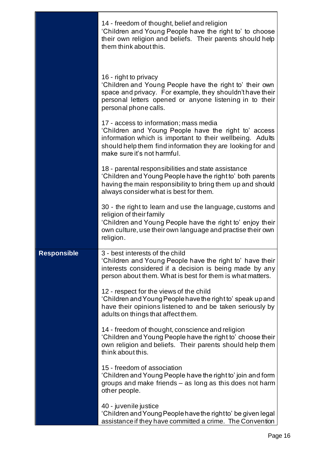|                    | 14 - freedom of thought, belief and religion<br>'Children and Young People have the right to' to choose<br>their own religion and beliefs. Their parents should help<br>them think about this.                                                           |
|--------------------|----------------------------------------------------------------------------------------------------------------------------------------------------------------------------------------------------------------------------------------------------------|
|                    | 16 - right to privacy<br>'Children and Young People have the right to' their own<br>space and privacy. For example, they shouldn't have their<br>personal letters opened or anyone listening in to their<br>personal phone calls.                        |
|                    | 17 - access to information; mass media<br>'Children and Young People have the right to' access<br>information which is important to their wellbeing. Adults<br>should help them find information they are looking for and<br>make sure it's not harmful. |
|                    | 18 - parental responsibilities and state assistance<br>'Children and Young People have the right to' both parents<br>having the main responsibility to bring them up and should<br>always consider what is best for them.                                |
|                    | 30 - the right to learn and use the language, customs and<br>religion of their family<br>'Children and Young People have the right to' enjoy their<br>own culture, use their own language and practise their own<br>religion.                            |
| <b>Responsible</b> | 3 - best interests of the child<br>'Children and Young People have the right to' have their<br>interests considered if a decision is being made by any<br>person about them. What is best for them is what matters.                                      |
|                    | 12 - respect for the views of the child<br>'Children and Young People have the right to' speak up and<br>have their opinions listened to and be taken seriously by<br>adults on things that affect them.                                                 |
|                    | 14 - freedom of thought, conscience and religion<br>'Children and Young People have the right to' choose their<br>own religion and beliefs. Their parents should help them<br>think about this.                                                          |
|                    | 15 - freedom of association<br>'Children and Young People have the right to' join and form<br>groups and make friends – as long as this does not harm<br>other people.                                                                                   |
|                    | 40 - juvenile justice<br>'Children and Young People have the right to' be given legal<br>assistance if they have committed a crime. The Convention                                                                                                       |